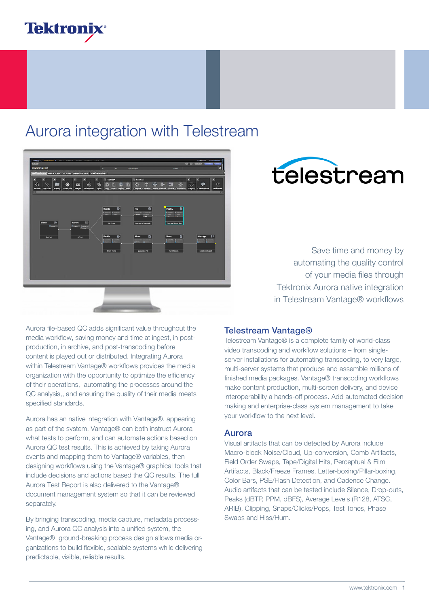## **Tektronix**

### Aurora integration with Telestream



# telestream

Save time and money by automating the quality control of your media files through Tektronix Aurora native integration in Telestream Vantage® workflows

Aurora file-based QC adds significant value throughout the media workflow, saving money and time at ingest, in postproduction, in archive, and post-transcoding before content is played out or distributed. Integrating Aurora within Telestream Vantage® workflows provides the media organization with the opportunity to optimize the efficiency of their operations, automating the processes around the QC analysis,, and ensuring the quality of their media meets specified standards.

Aurora has an native integration with Vantage®, appearing as part of the system. Vantage® can both instruct Aurora what tests to perform, and can automate actions based on Aurora QC test results. This is achieved by taking Aurora events and mapping them to Vantage® variables, then designing workflows using the Vantage® graphical tools that include decisions and actions based the QC results. The full Aurora Test Report is also delivered to the Vantage® document management system so that it can be reviewed separately.

By bringing transcoding, media capture, metadata processing, and Aurora QC analysis into a unified system, the Vantage® ground-breaking process design allows media organizations to build flexible, scalable systems while delivering predictable, visible, reliable results.

#### Telestream Vantage®

Telestream Vantage® is a complete family of world-class video transcoding and workflow solutions – from singleserver installations for automating transcoding, to very large, multi-server systems that produce and assemble millions of finished media packages. Vantage® transcoding workflows make content production, multi-screen delivery, and device interoperability a hands-off process. Add automated decision making and enterprise-class system management to take your workflow to the next level.

#### Aurora

Visual artifacts that can be detected by Aurora include Macro-block Noise/Cloud, Up-conversion, Comb Artifacts, Field Order Swaps, Tape/Digital Hits, Perceptual & Film Artifacts, Black/Freeze Frames, Letter-boxing/Pillar-boxing, Color Bars, PSE/Flash Detection, and Cadence Change. Audio artifacts that can be tested include Silence, Drop-outs, Peaks (dBTP, PPM, dBFS), Average Levels (R128, ATSC, ARIB), Clipping, Snaps/Clicks/Pops, Test Tones, Phase Swaps and Hiss/Hum.